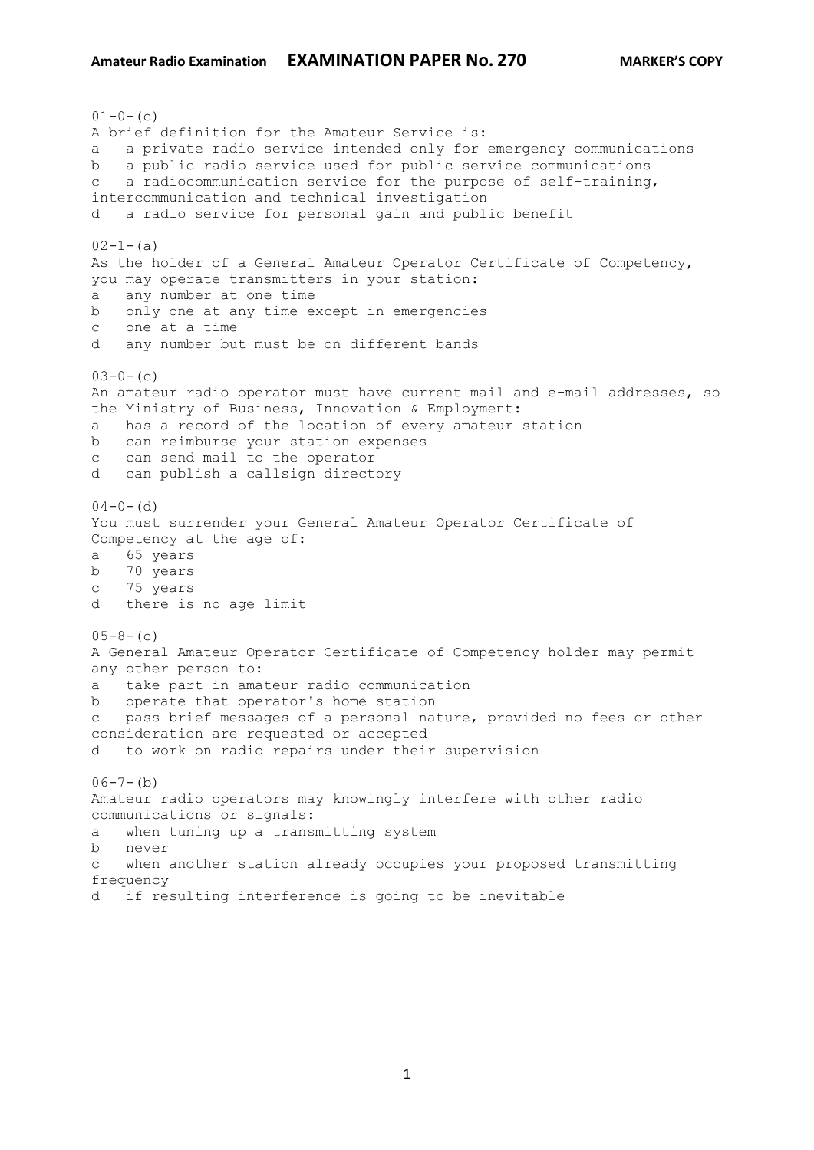$01-0-$  (c) A brief definition for the Amateur Service is: a a private radio service intended only for emergency communications b a public radio service used for public service communications c a radiocommunication service for the purpose of self-training, intercommunication and technical investigation d a radio service for personal gain and public benefit  $02-1-(a)$ As the holder of a General Amateur Operator Certificate of Competency, you may operate transmitters in your station: a any number at one time b only one at any time except in emergencies c one at a time d any number but must be on different bands  $03-0-$  (c) An amateur radio operator must have current mail and e-mail addresses, so the Ministry of Business, Innovation & Employment: a has a record of the location of every amateur station b can reimburse your station expenses c can send mail to the operator d can publish a callsign directory  $04-0-$  (d) You must surrender your General Amateur Operator Certificate of Competency at the age of: a 65 years b 70 years c 75 years d there is no age limit  $05-8-$  (c) A General Amateur Operator Certificate of Competency holder may permit any other person to: a take part in amateur radio communication b operate that operator's home station c pass brief messages of a personal nature, provided no fees or other consideration are requested or accepted d to work on radio repairs under their supervision  $06-7-(b)$ Amateur radio operators may knowingly interfere with other radio communications or signals: a when tuning up a transmitting system b never c when another station already occupies your proposed transmitting frequency d if resulting interference is going to be inevitable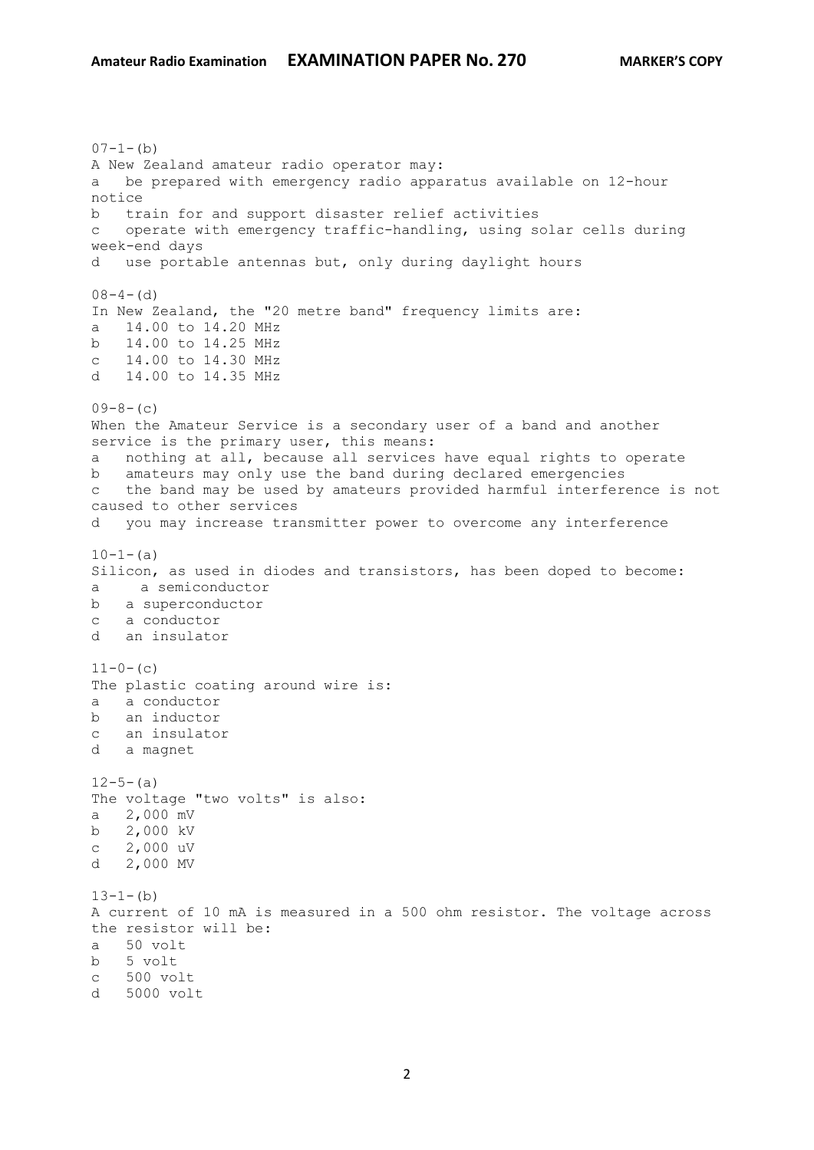$07-1-(b)$ A New Zealand amateur radio operator may: a be prepared with emergency radio apparatus available on 12-hour notice b train for and support disaster relief activities c operate with emergency traffic-handling, using solar cells during week-end days d use portable antennas but, only during daylight hours  $08-4-(d)$ In New Zealand, the "20 metre band" frequency limits are: a 14.00 to 14.20 MHz b 14.00 to 14.25 MHz c 14.00 to 14.30 MHz d 14.00 to 14.35 MHz  $09-8-(c)$ When the Amateur Service is a secondary user of a band and another service is the primary user, this means: a nothing at all, because all services have equal rights to operate b amateurs may only use the band during declared emergencies c the band may be used by amateurs provided harmful interference is not caused to other services d you may increase transmitter power to overcome any interference  $10-1-$ (a) Silicon, as used in diodes and transistors, has been doped to become: a a semiconductor b a superconductor c a conductor d an insulator  $11-0-$  (c) The plastic coating around wire is: a a conductor b an inductor c an insulator d a magnet  $12-5-(a)$ The voltage "two volts" is also: a 2,000 mV b 2,000 kV c 2,000 uV d 2,000 MV  $13-1-(b)$ A current of 10 mA is measured in a 500 ohm resistor. The voltage across the resistor will be: a 50 volt b 5 volt c 500 volt d 5000 volt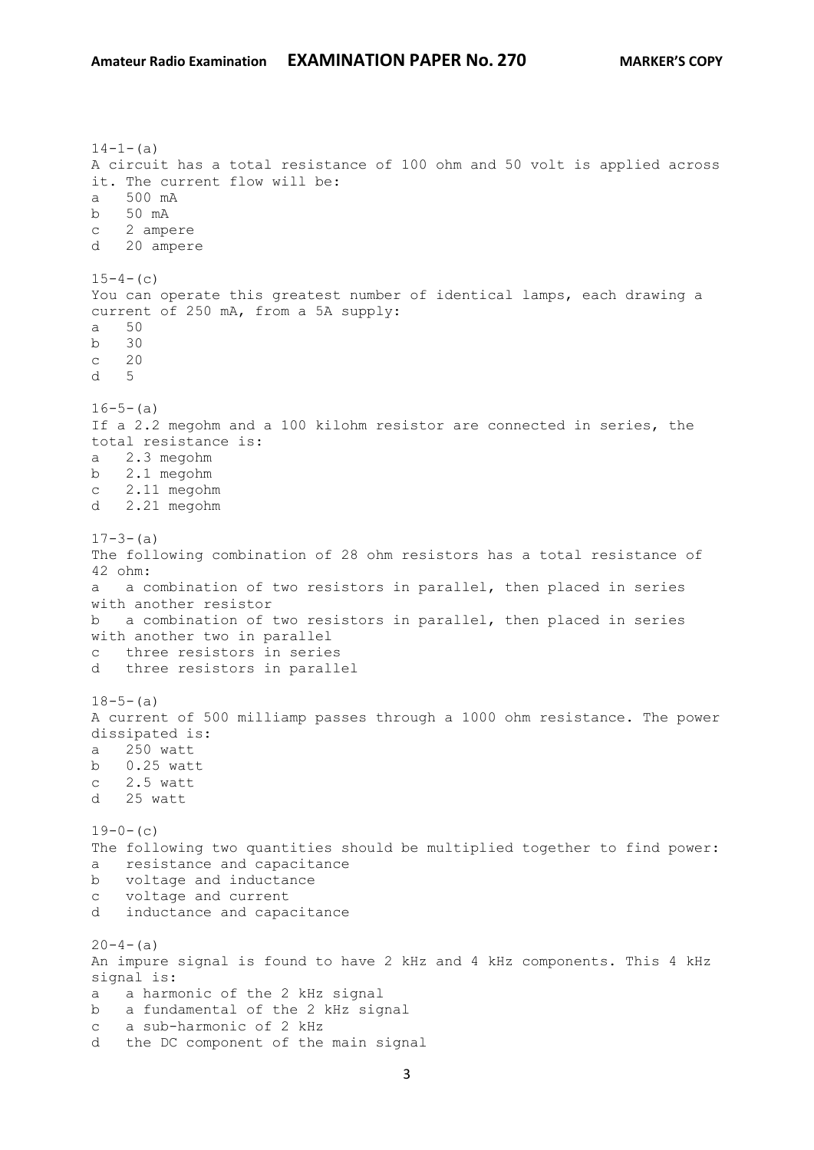$14-1-(a)$ A circuit has a total resistance of 100 ohm and 50 volt is applied across it. The current flow will be: a 500 mA b 50 mA c 2 ampere d 20 ampere  $15-4-$ (c) You can operate this greatest number of identical lamps, each drawing a current of 250 mA, from a 5A supply: a 50 b 30 c 20 d 5  $16-5-(a)$ If a 2.2 megohm and a 100 kilohm resistor are connected in series, the total resistance is: a 2.3 megohm b 2.1 megohm c 2.11 megohm d 2.21 megohm  $17-3-(a)$ The following combination of 28 ohm resistors has a total resistance of 42 ohm: a a combination of two resistors in parallel, then placed in series with another resistor b a combination of two resistors in parallel, then placed in series with another two in parallel c three resistors in series d three resistors in parallel  $18-5-(a)$ A current of 500 milliamp passes through a 1000 ohm resistance. The power dissipated is: a 250 watt b 0.25 watt c 2.5 watt d 25 watt  $19-0-$  (c) The following two quantities should be multiplied together to find power: a resistance and capacitance b voltage and inductance c voltage and current d inductance and capacitance  $20-4-(a)$ An impure signal is found to have 2 kHz and 4 kHz components. This 4 kHz signal is: a a harmonic of the 2 kHz signal b a fundamental of the 2 kHz signal c a sub-harmonic of 2 kHz d the DC component of the main signal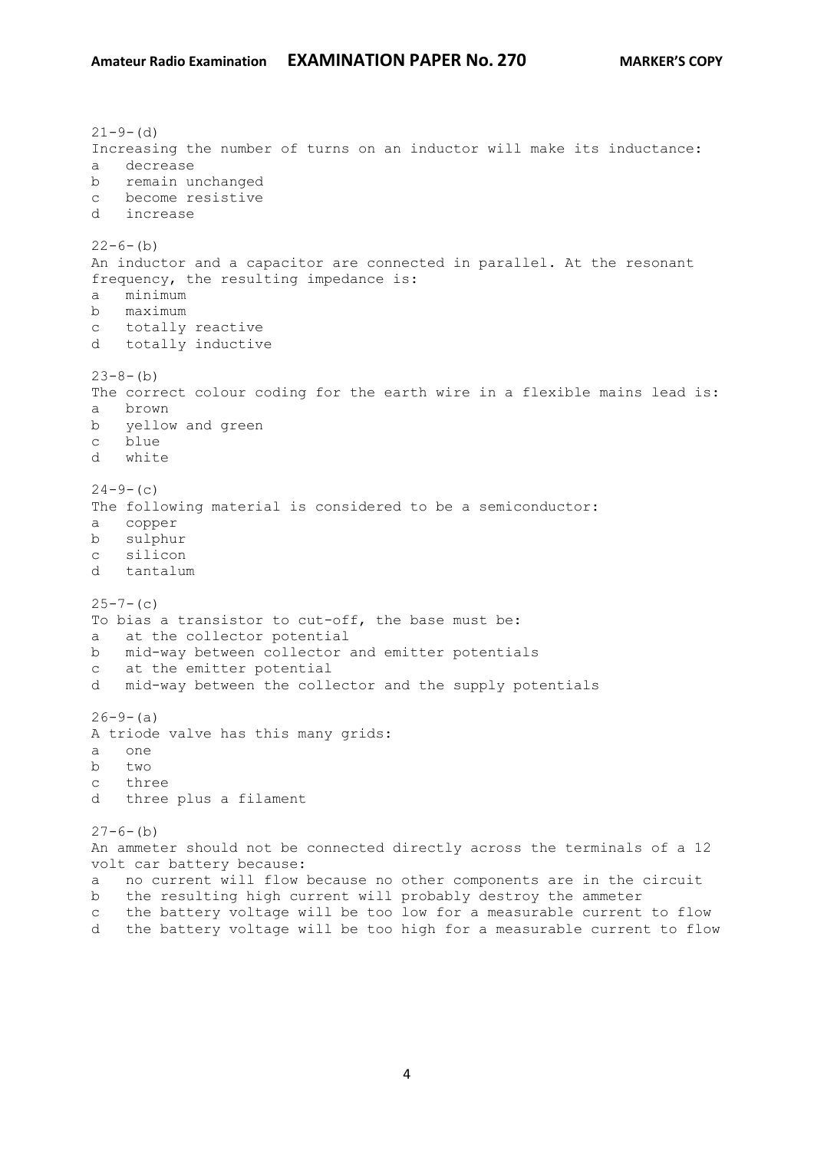$21 - 9 - (d)$ Increasing the number of turns on an inductor will make its inductance: a decrease b remain unchanged c become resistive d increase  $22-6-(b)$ An inductor and a capacitor are connected in parallel. At the resonant frequency, the resulting impedance is: a minimum b maximum c totally reactive d totally inductive  $23-8-(b)$ The correct colour coding for the earth wire in a flexible mains lead is: a brown b yellow and green c blue d white  $24-9-$ (c) The following material is considered to be a semiconductor: a copper b sulphur c silicon d tantalum  $25 - 7 - (c)$ To bias a transistor to cut-off, the base must be: a at the collector potential b mid-way between collector and emitter potentials c at the emitter potential d mid-way between the collector and the supply potentials  $26-9-(a)$ A triode valve has this many grids: a one b two c three d three plus a filament  $27-6-$ (b) An ammeter should not be connected directly across the terminals of a 12 volt car battery because: a no current will flow because no other components are in the circuit b the resulting high current will probably destroy the ammeter c the battery voltage will be too low for a measurable current to flow

4

d the battery voltage will be too high for a measurable current to flow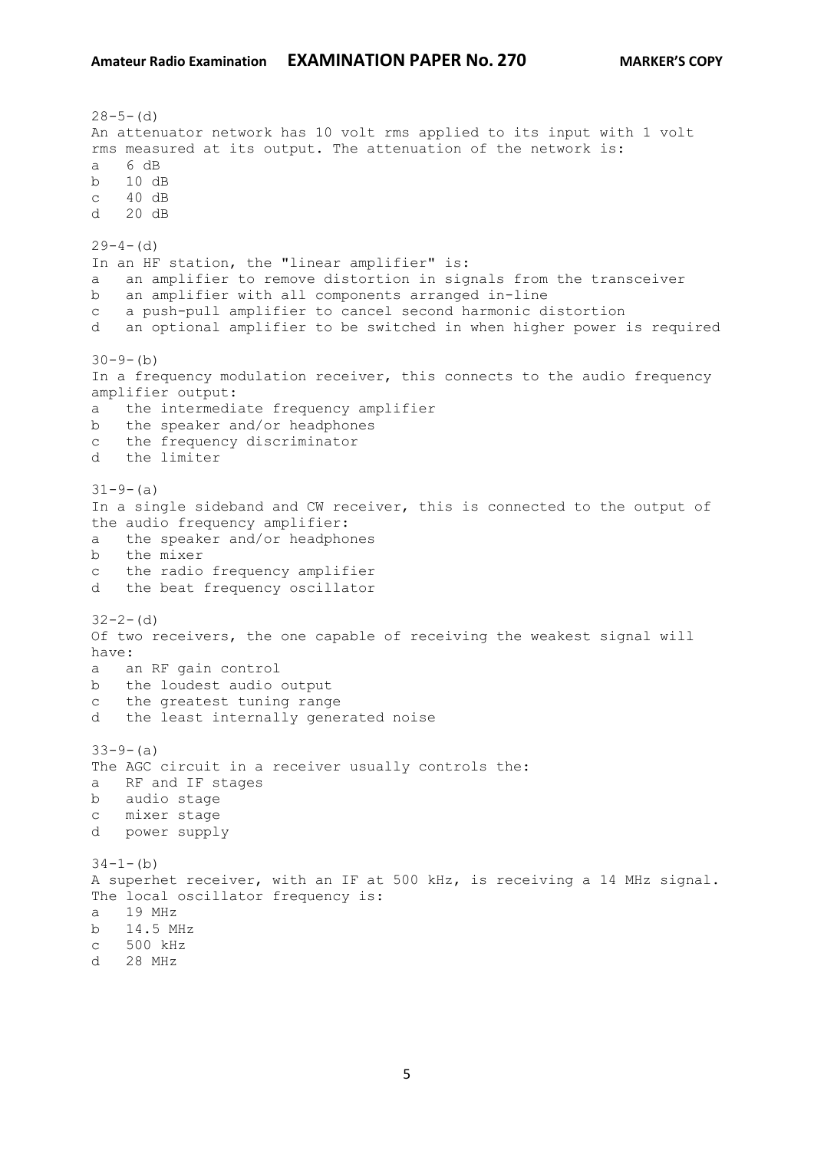```
28-5-(d)An attenuator network has 10 volt rms applied to its input with 1 volt 
rms measured at its output. The attenuation of the network is:
a 6 dB
b 10 dB
c 40 dB 
d 20 dB 
29-4- (d)
In an HF station, the "linear amplifier" is:
a an amplifier to remove distortion in signals from the transceiver
b an amplifier with all components arranged in-line
c a push-pull amplifier to cancel second harmonic distortion
d an optional amplifier to be switched in when higher power is required
30-9-(b)In a frequency modulation receiver, this connects to the audio frequency 
amplifier output:
a the intermediate frequency amplifier
b the speaker and/or headphones
c the frequency discriminator
d the limiter
31-9-(a)In a single sideband and CW receiver, this is connected to the output of 
the audio frequency amplifier:
a the speaker and/or headphones
b the mixer
c the radio frequency amplifier
d the beat frequency oscillator
32 - 2 - (d)Of two receivers, the one capable of receiving the weakest signal will 
have:
a an RF gain control
b the loudest audio output
c the greatest tuning range
d the least internally generated noise
33-9- (a)
The AGC circuit in a receiver usually controls the:
a RF and IF stages
b audio stage
c mixer stage
d power supply
34-1-(b)
A superhet receiver, with an IF at 500 kHz, is receiving a 14 MHz signal. 
The local oscillator frequency is:
a 19 MHz
b 14.5 MHz
c 500 kHz
d 28 MHz
```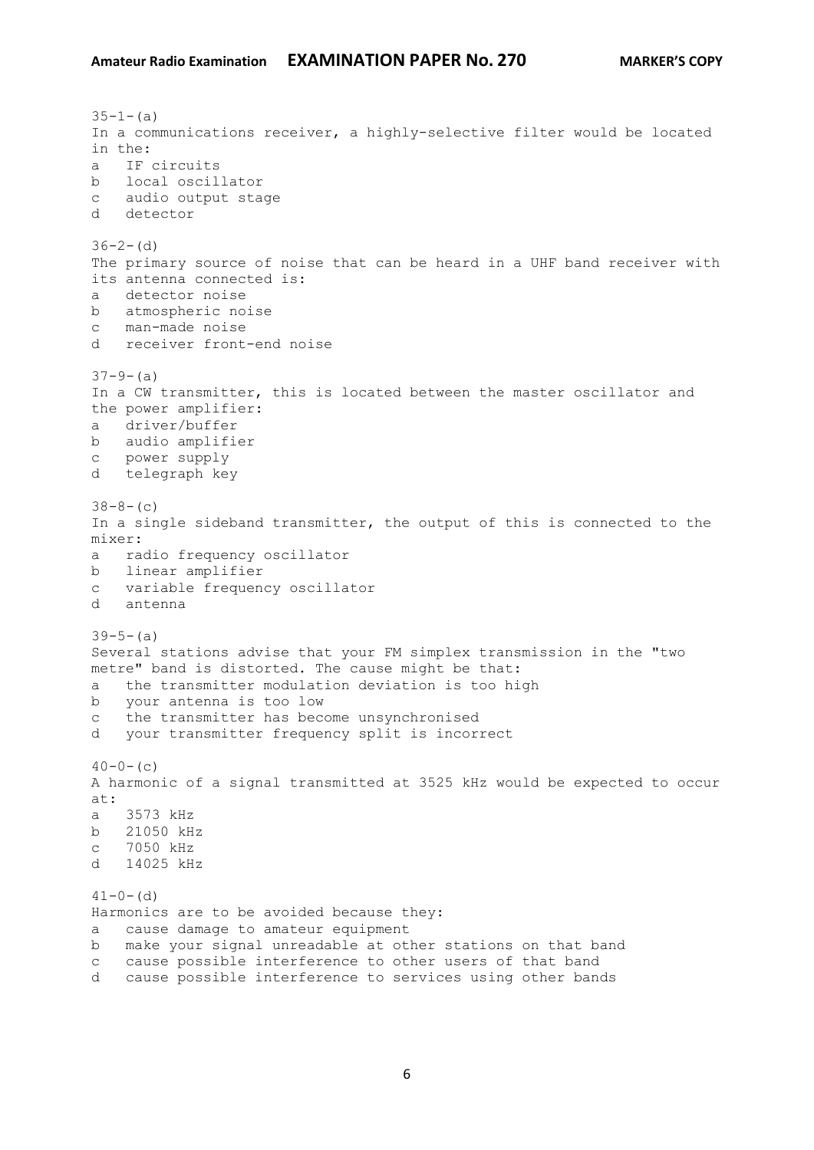$35-1-(a)$ In a communications receiver, a highly-selective filter would be located in the: a IF circuits b local oscillator c audio output stage d detector  $36-2-$  (d) The primary source of noise that can be heard in a UHF band receiver with its antenna connected is: a detector noise b atmospheric noise c man-made noise d receiver front-end noise  $37-9-$  (a) In a CW transmitter, this is located between the master oscillator and the power amplifier: a driver/buffer b audio amplifier c power supply d telegraph key  $38-8-(c)$ In a single sideband transmitter, the output of this is connected to the mixer: a radio frequency oscillator b linear amplifier c variable frequency oscillator d antenna  $39-5-(a)$ Several stations advise that your FM simplex transmission in the "two metre" band is distorted. The cause might be that: a the transmitter modulation deviation is too high b your antenna is too low c the transmitter has become unsynchronised d your transmitter frequency split is incorrect  $40-0-$  (c) A harmonic of a signal transmitted at 3525 kHz would be expected to occur at: a 3573 kHz b 21050 kHz c 7050 kHz d 14025 kHz  $41-0-$  (d) Harmonics are to be avoided because they: a cause damage to amateur equipment b make your signal unreadable at other stations on that band c cause possible interference to other users of that band d cause possible interference to services using other bands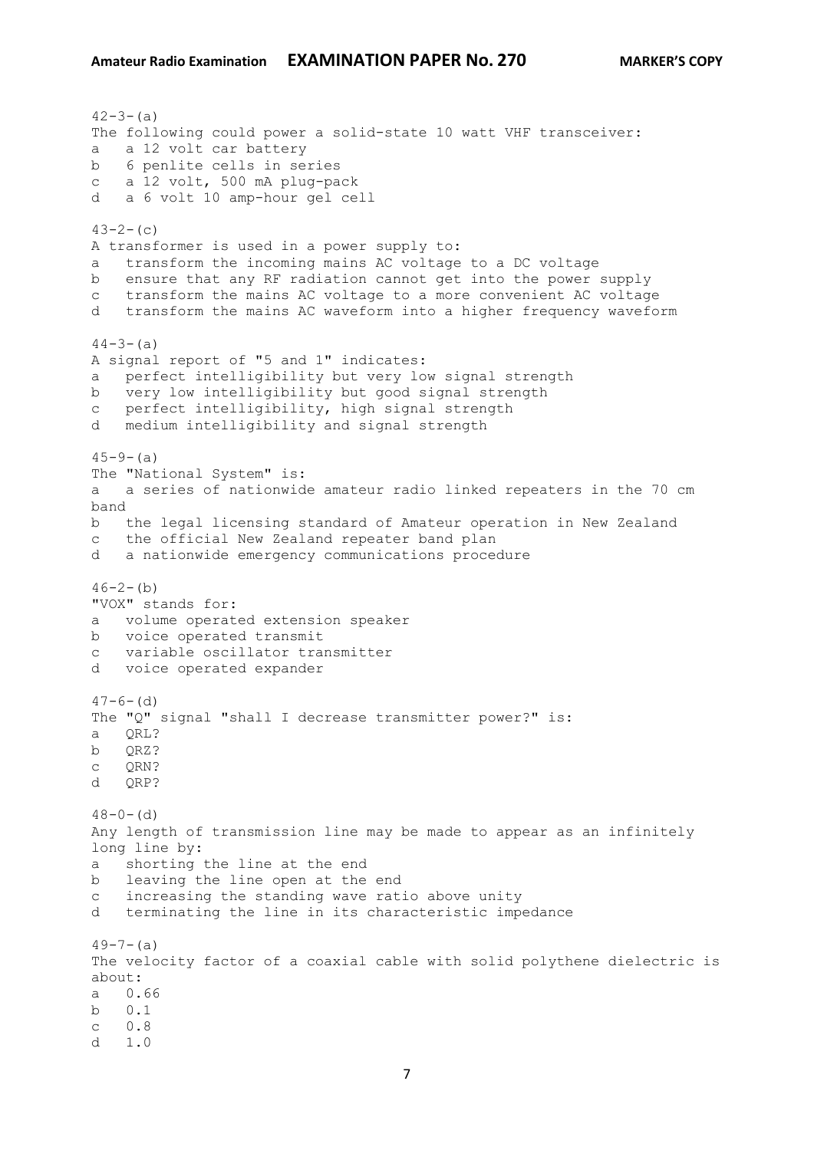$42 - 3 - (a)$ The following could power a solid-state 10 watt VHF transceiver: a a 12 volt car battery b 6 penlite cells in series c a 12 volt, 500 mA plug-pack d a 6 volt 10 amp-hour gel cell  $43-2-(c)$ A transformer is used in a power supply to: a transform the incoming mains AC voltage to a DC voltage b ensure that any RF radiation cannot get into the power supply c transform the mains AC voltage to a more convenient AC voltage d transform the mains AC waveform into a higher frequency waveform  $44-3-(a)$ A signal report of "5 and 1" indicates: a perfect intelligibility but very low signal strength b very low intelligibility but good signal strength c perfect intelligibility, high signal strength d medium intelligibility and signal strength  $45 - 9 - (a)$ The "National System" is: a a series of nationwide amateur radio linked repeaters in the 70 cm band b the legal licensing standard of Amateur operation in New Zealand c the official New Zealand repeater band plan d a nationwide emergency communications procedure  $46-2-(b)$ "VOX" stands for: a volume operated extension speaker b voice operated transmit c variable oscillator transmitter d voice operated expander  $47-6-$  (d) The "Q" signal "shall I decrease transmitter power?" is: a QRL? b QRZ? c QRN? d ORP?  $48-0-$  (d) Any length of transmission line may be made to appear as an infinitely long line by: a shorting the line at the end b leaving the line open at the end c increasing the standing wave ratio above unity d terminating the line in its characteristic impedance  $49-7-(a)$ The velocity factor of a coaxial cable with solid polythene dielectric is about: a 0.66 b 0.1 c 0.8  $d = 1.0$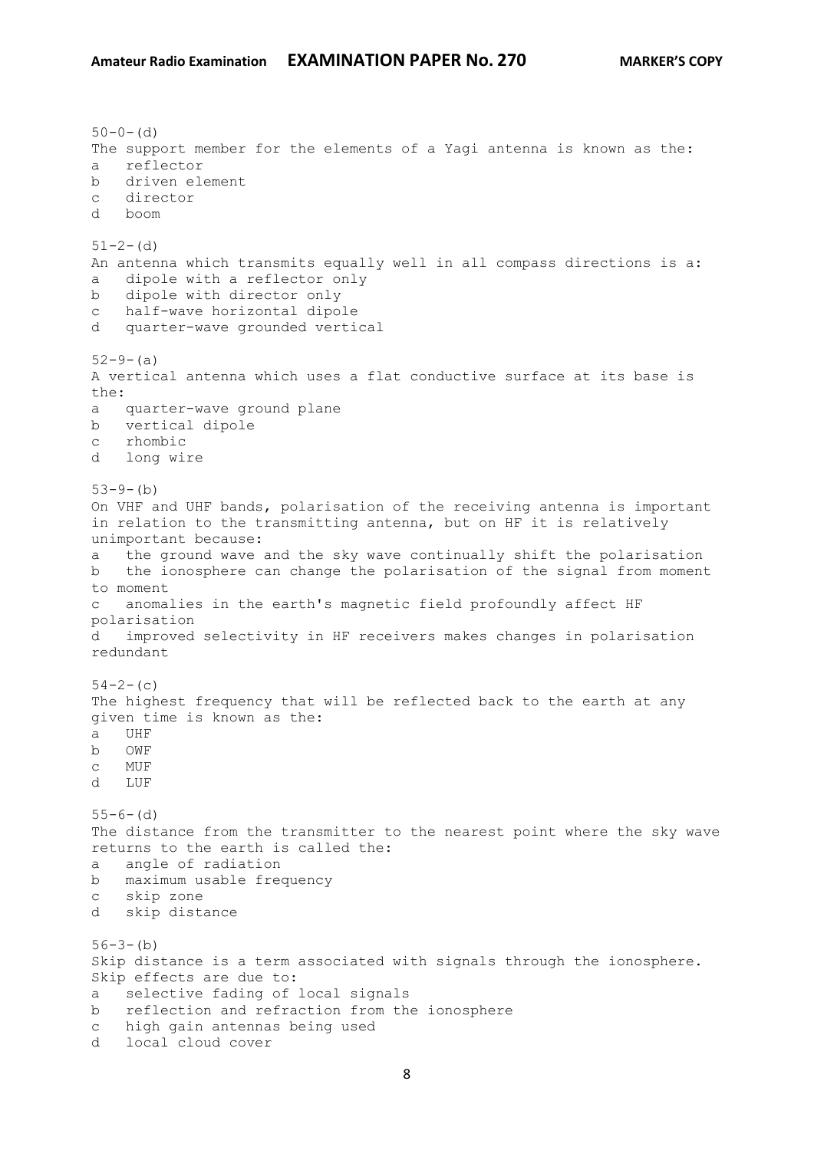$50-0-$  (d) The support member for the elements of a Yagi antenna is known as the: a reflector b driven element c director d boom  $51 - 2 - (d)$ An antenna which transmits equally well in all compass directions is a: a dipole with a reflector only b dipole with director only c half-wave horizontal dipole d quarter-wave grounded vertical  $52-9-(a)$ A vertical antenna which uses a flat conductive surface at its base is the: a quarter-wave ground plane b vertical dipole c rhombic d long wire  $53-9-(b)$ On VHF and UHF bands, polarisation of the receiving antenna is important in relation to the transmitting antenna, but on HF it is relatively unimportant because: a the ground wave and the sky wave continually shift the polarisation b the ionosphere can change the polarisation of the signal from moment to moment c anomalies in the earth's magnetic field profoundly affect HF polarisation d improved selectivity in HF receivers makes changes in polarisation redundant  $54-2-$ (c) The highest frequency that will be reflected back to the earth at any given time is known as the: a UHF b OWF c MUF d LUF  $55-6-$  (d) The distance from the transmitter to the nearest point where the sky wave returns to the earth is called the: a angle of radiation b maximum usable frequency c skip zone d skip distance  $56-3-(b)$ Skip distance is a term associated with signals through the ionosphere. Skip effects are due to: a selective fading of local signals b reflection and refraction from the ionosphere c high gain antennas being used d local cloud cover